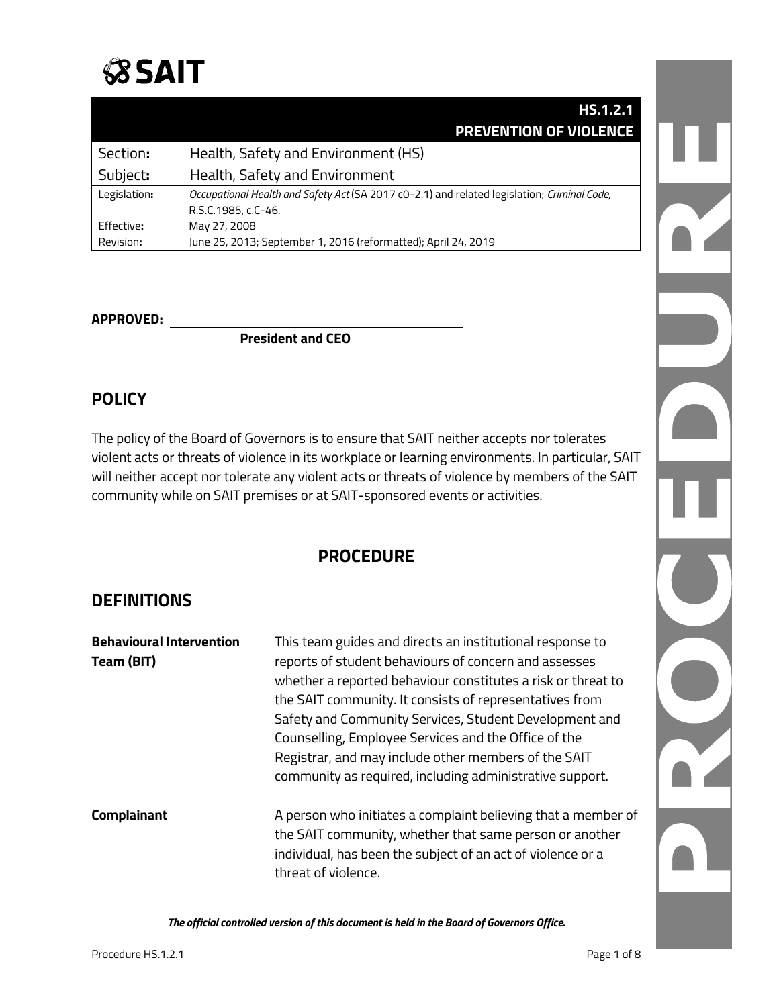## **SSAIT**

|              | <b>HS.1.2.1</b>                                                                             |  |
|--------------|---------------------------------------------------------------------------------------------|--|
|              | <b>PREVENTION OF VIOLENCE</b>                                                               |  |
| Section:     | Health, Safety and Environment (HS)                                                         |  |
| Subject:     | Health, Safety and Environment                                                              |  |
| Legislation: | Occupational Health and Safety Act (SA 2017 c0-2.1) and related legislation; Criminal Code, |  |
|              | R.S.C.1985, c.C-46.                                                                         |  |
| Effective:   | May 27, 2008                                                                                |  |
| Revision:    | June 25, 2013; September 1, 2016 (reformatted); April 24, 2019                              |  |

#### **APPROVED:**

**President and CEO**

### **POLICY**

The policy of the Board of Governors is to ensure that SAIT neither accepts nor tolerates violent acts or threats of violence in its workplace or learning environments. In particular, SAIT will neither accept nor tolerate any violent acts or threats of violence by members of the SAIT community while on SAIT premises or at SAIT-sponsored events or activities.

### **PROCEDURE**

### **DEFINITIONS**

| <b>Behavioural Intervention</b><br>Team (BIT) | This team guides and directs an institutional response to<br>reports of student behaviours of concern and assesses<br>whether a reported behaviour constitutes a risk or threat to<br>the SAIT community. It consists of representatives from<br>Safety and Community Services, Student Development and<br>Counselling, Employee Services and the Office of the<br>Registrar, and may include other members of the SAIT<br>community as required, including administrative support. |
|-----------------------------------------------|-------------------------------------------------------------------------------------------------------------------------------------------------------------------------------------------------------------------------------------------------------------------------------------------------------------------------------------------------------------------------------------------------------------------------------------------------------------------------------------|
| <b>Complainant</b>                            | A person who initiates a complaint believing that a member of<br>the SAIT community, whether that same person or another<br>individual, has been the subject of an act of violence or a<br>threat of violence.                                                                                                                                                                                                                                                                      |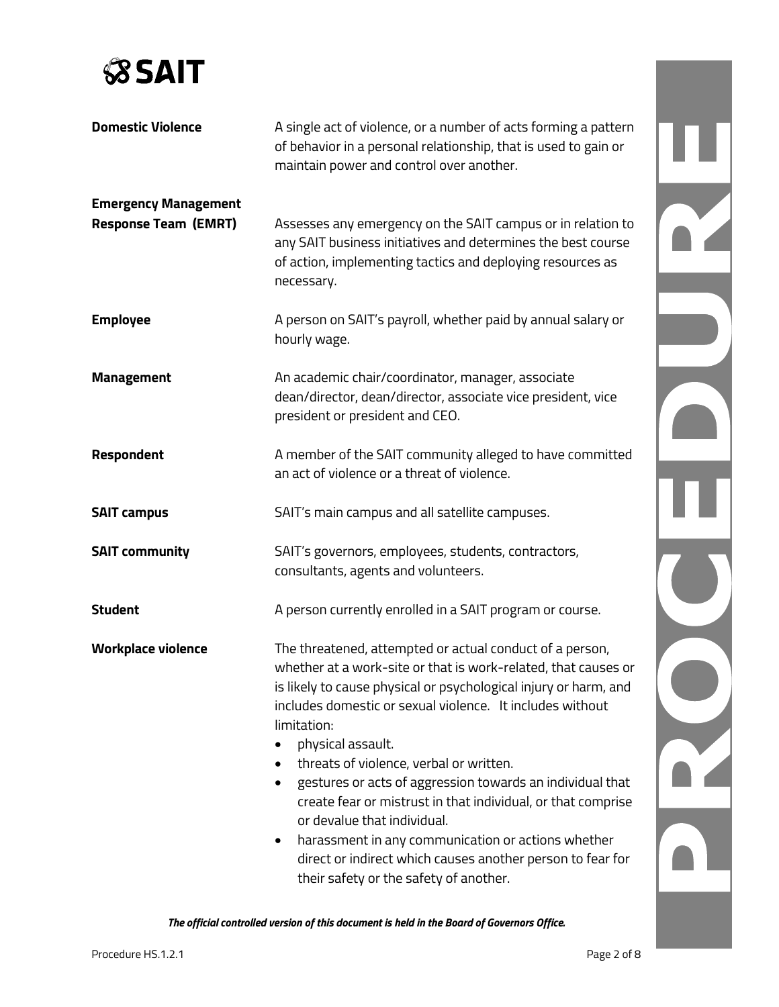

| <b>Domestic Violence</b>                                   | A single act of violence, or a number of acts forming a pattern<br>of behavior in a personal relationship, that is used to gain or<br>maintain power and control over another.                                                                                                                                                                                                                                                                                                                                                                                                                                                          |  |
|------------------------------------------------------------|-----------------------------------------------------------------------------------------------------------------------------------------------------------------------------------------------------------------------------------------------------------------------------------------------------------------------------------------------------------------------------------------------------------------------------------------------------------------------------------------------------------------------------------------------------------------------------------------------------------------------------------------|--|
| <b>Emergency Management</b><br><b>Response Team (EMRT)</b> | Assesses any emergency on the SAIT campus or in relation to<br>any SAIT business initiatives and determines the best course<br>of action, implementing tactics and deploying resources as<br>necessary.                                                                                                                                                                                                                                                                                                                                                                                                                                 |  |
| <b>Employee</b>                                            | A person on SAIT's payroll, whether paid by annual salary or<br>hourly wage.                                                                                                                                                                                                                                                                                                                                                                                                                                                                                                                                                            |  |
| <b>Management</b>                                          | An academic chair/coordinator, manager, associate<br>dean/director, dean/director, associate vice president, vice<br>president or president and CEO.                                                                                                                                                                                                                                                                                                                                                                                                                                                                                    |  |
| <b>Respondent</b>                                          | A member of the SAIT community alleged to have committed<br>an act of violence or a threat of violence.                                                                                                                                                                                                                                                                                                                                                                                                                                                                                                                                 |  |
| <b>SAIT campus</b>                                         | SAIT's main campus and all satellite campuses.                                                                                                                                                                                                                                                                                                                                                                                                                                                                                                                                                                                          |  |
| <b>SAIT community</b>                                      | SAIT's governors, employees, students, contractors,<br>consultants, agents and volunteers.                                                                                                                                                                                                                                                                                                                                                                                                                                                                                                                                              |  |
| <b>Student</b>                                             | A person currently enrolled in a SAIT program or course.                                                                                                                                                                                                                                                                                                                                                                                                                                                                                                                                                                                |  |
| <b>Workplace violence</b>                                  | The threatened, attempted or actual conduct of a person,<br>whether at a work-site or that is work-related, that causes or<br>is likely to cause physical or psychological injury or harm, and<br>includes domestic or sexual violence. It includes without<br>limitation:<br>physical assault.<br>threats of violence, verbal or written.<br>gestures or acts of aggression towards an individual that<br>create fear or mistrust in that individual, or that comprise<br>or devalue that individual.<br>harassment in any communication or actions whether<br>$\bullet$<br>direct or indirect which causes another person to fear for |  |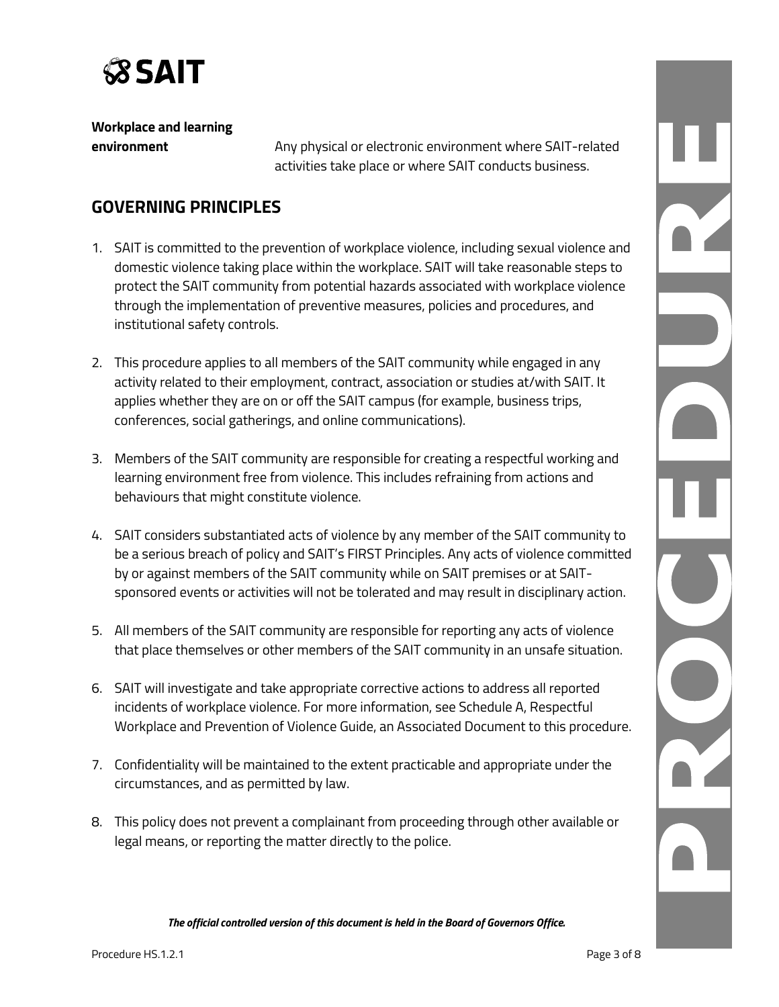

**Workplace and learning** 

**environment** Any physical or electronic environment where SAIT-related activities take place or where SAIT conducts business.

### **GOVERNING PRINCIPLES**

- 1. SAIT is committed to the prevention of workplace violence, including sexual violence and domestic violence taking place within the workplace. SAIT will take reasonable steps to protect the SAIT community from potential hazards associated with workplace violence through the implementation of preventive measures, policies and procedures, and institutional safety controls.
- 2. This procedure applies to all members of the SAIT community while engaged in any activity related to their employment, contract, association or studies at/with SAIT. It applies whether they are on or off the SAIT campus (for example, business trips, conferences, social gatherings, and online communications).
- 3. Members of the SAIT community are responsible for creating a respectful working and learning environment free from violence. This includes refraining from actions and behaviours that might constitute violence.
- 4. SAIT considers substantiated acts of violence by any member of the SAIT community to be a serious breach of policy and SAIT's FIRST Principles. Any acts of violence committed by or against members of the SAIT community while on SAIT premises or at SAITsponsored events or activities will not be tolerated and may result in disciplinary action.
- 5. All members of the SAIT community are responsible for reporting any acts of violence that place themselves or other members of the SAIT community in an unsafe situation.
- 6. SAIT will investigate and take appropriate corrective actions to address all reported incidents of workplace violence. For more information, see Schedule A, Respectful Workplace and Prevention of Violence Guide, an Associated Document to this procedure.
- 7. Confidentiality will be maintained to the extent practicable and appropriate under the circumstances, and as permitted by law.
- 8. This policy does not prevent a complainant from proceeding through other available or legal means, or reporting the matter directly to the police.

DZ.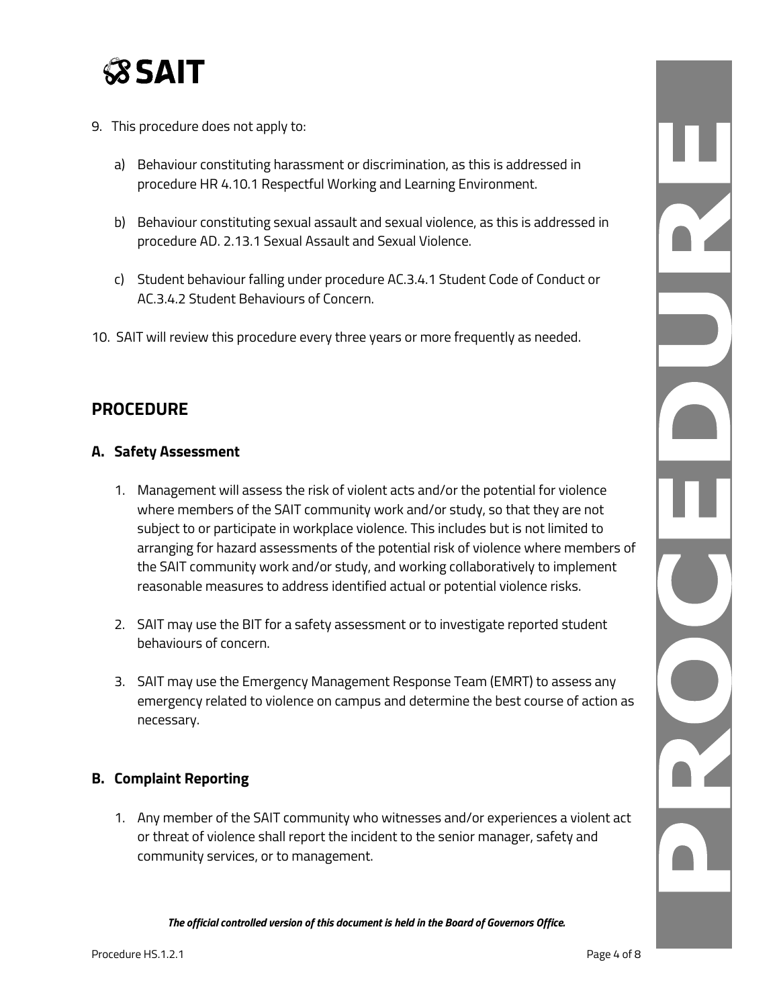

- 9. This procedure does not apply to:
	- a) Behaviour constituting harassment or discrimination, as this is addressed in procedure HR 4.10.1 Respectful Working and Learning Environment.
	- b) Behaviour constituting sexual assault and sexual violence, as this is addressed in procedure AD. 2.13.1 Sexual Assault and Sexual Violence.
	- c) Student behaviour falling under procedure AC.3.4.1 Student Code of Conduct or AC.3.4.2 Student Behaviours of Concern.
- 10. SAIT will review this procedure every three years or more frequently as needed.

### **PROCEDURE**

#### **A. Safety Assessment**

- 1. Management will assess the risk of violent acts and/or the potential for violence where members of the SAIT community work and/or study, so that they are not subject to or participate in workplace violence. This includes but is not limited to arranging for hazard assessments of the potential risk of violence where members of the SAIT community work and/or study, and working collaboratively to implement reasonable measures to address identified actual or potential violence risks.
- 2. SAIT may use the BIT for a safety assessment or to investigate reported student behaviours of concern.
- 3. SAIT may use the Emergency Management Response Team (EMRT) to assess any emergency related to violence on campus and determine the best course of action as necessary.

### **B. Complaint Reporting**

1. Any member of the SAIT community who witnesses and/or experiences a violent act or threat of violence shall report the incident to the senior manager, safety and community services, or to management.

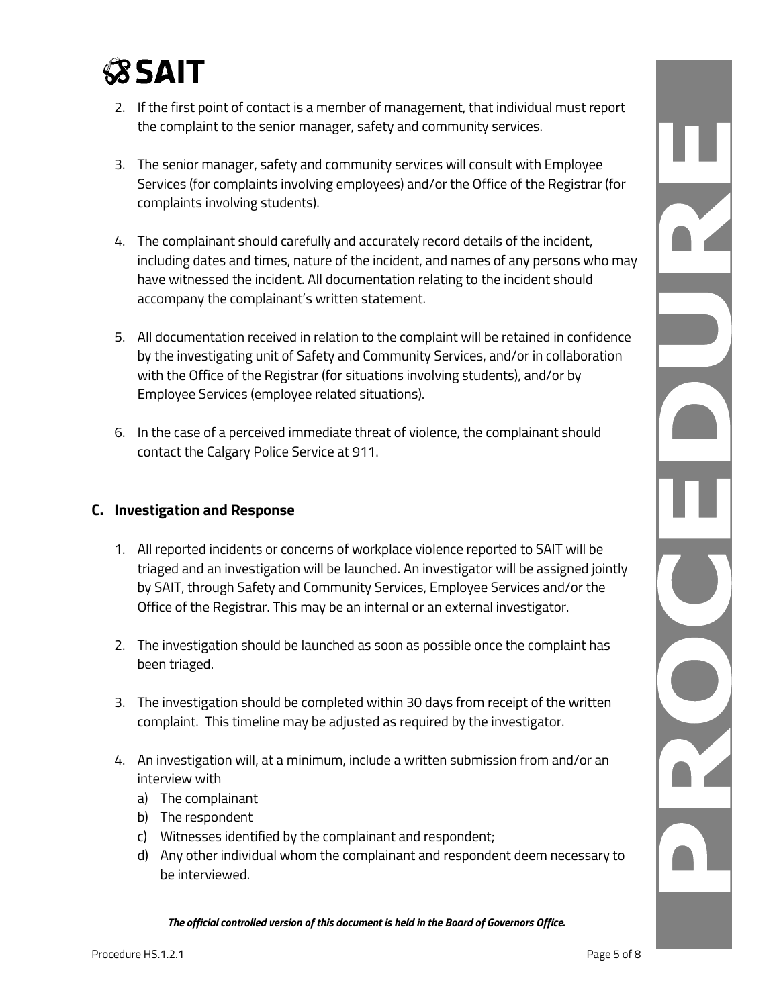## **SSAIT**

- 2. If the first point of contact is a member of management, that individual must report the complaint to the senior manager, safety and community services.
- 3. The senior manager, safety and community services will consult with Employee Services (for complaints involving employees) and/or the Office of the Registrar (for complaints involving students).
- 4. The complainant should carefully and accurately record details of the incident, including dates and times, nature of the incident, and names of any persons who may have witnessed the incident. All documentation relating to the incident should accompany the complainant's written statement.
- 5. All documentation received in relation to the complaint will be retained in confidence by the investigating unit of Safety and Community Services, and/or in collaboration with the Office of the Registrar (for situations involving students), and/or by Employee Services (employee related situations).
- 6. In the case of a perceived immediate threat of violence, the complainant should contact the Calgary Police Service at 911.

### **C. Investigation and Response**

- 1. All reported incidents or concerns of workplace violence reported to SAIT will be triaged and an investigation will be launched. An investigator will be assigned jointly by SAIT, through Safety and Community Services, Employee Services and/or the Office of the Registrar. This may be an internal or an external investigator.
- 2. The investigation should be launched as soon as possible once the complaint has been triaged.
- 3. The investigation should be completed within 30 days from receipt of the written complaint. This timeline may be adjusted as required by the investigator.
- 4. An investigation will, at a minimum, include a written submission from and/or an interview with
	- a) The complainant
	- b) The respondent
	- c) Witnesses identified by the complainant and respondent;
	- d) Any other individual whom the complainant and respondent deem necessary to be interviewed.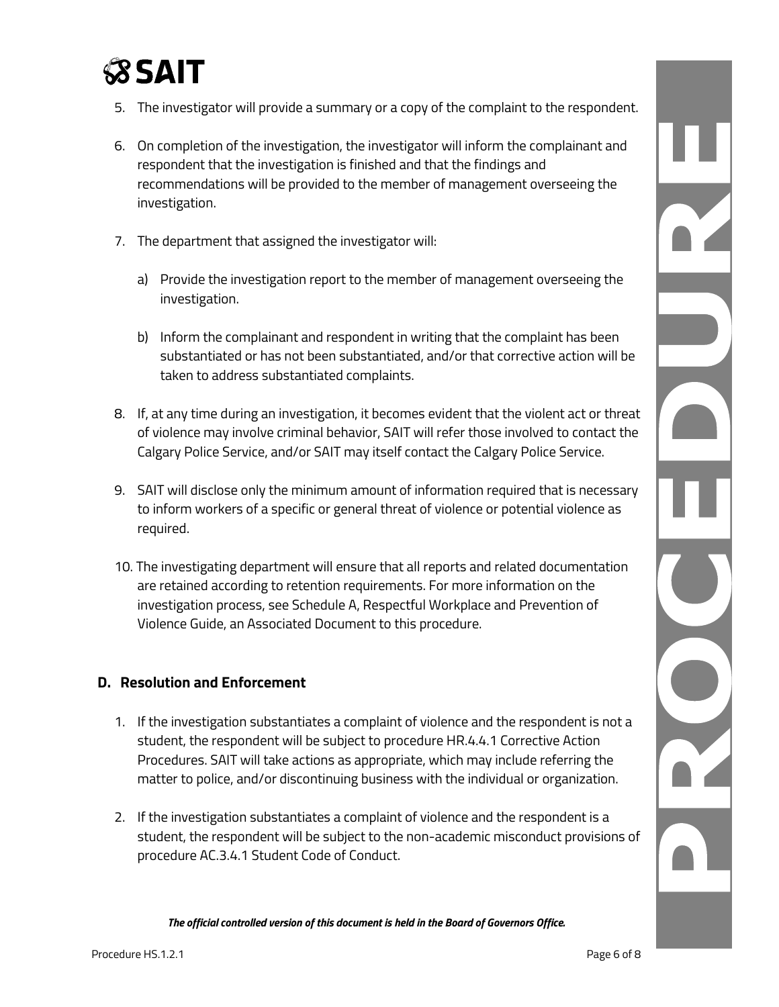# **SSAIT**

- 5. The investigator will provide a summary or a copy of the complaint to the respondent.
- 6. On completion of the investigation, the investigator will inform the complainant and respondent that the investigation is finished and that the findings and recommendations will be provided to the member of management overseeing the investigation.
- 7. The department that assigned the investigator will:
	- a) Provide the investigation report to the member of management overseeing the investigation.
	- b) Inform the complainant and respondent in writing that the complaint has been substantiated or has not been substantiated, and/or that corrective action will be taken to address substantiated complaints.
- 8. If, at any time during an investigation, it becomes evident that the violent act or threat of violence may involve criminal behavior, SAIT will refer those involved to contact the Calgary Police Service, and/or SAIT may itself contact the Calgary Police Service.
- 9. SAIT will disclose only the minimum amount of information required that is necessary to inform workers of a specific or general threat of violence or potential violence as required.
- 10. The investigating department will ensure that all reports and related documentation are retained according to retention requirements. For more information on the investigation process, see Schedule A, Respectful Workplace and Prevention of Violence Guide, an Associated Document to this procedure.

### **D. Resolution and Enforcement**

- 1. If the investigation substantiates a complaint of violence and the respondent is not a student, the respondent will be subject to procedure HR.4.4.1 Corrective Action Procedures. SAIT will take actions as appropriate, which may include referring the matter to police, and/or discontinuing business with the individual or organization.
- 2. If the investigation substantiates a complaint of violence and the respondent is a student, the respondent will be subject to the non-academic misconduct provisions of procedure AC.3.4.1 Student Code of Conduct.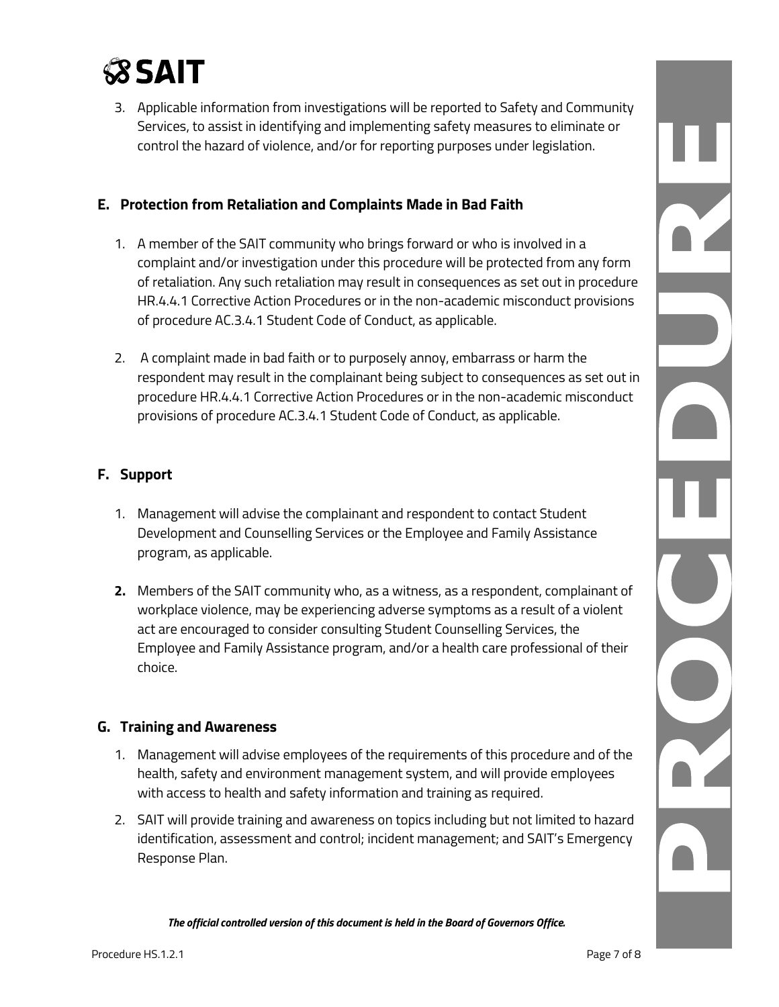

3. Applicable information from investigations will be reported to Safety and Community Services, to assist in identifying and implementing safety measures to eliminate or control the hazard of violence, and/or for reporting purposes under legislation.

### **E. Protection from Retaliation and Complaints Made in Bad Faith**

- 1. A member of the SAIT community who brings forward or who is involved in a complaint and/or investigation under this procedure will be protected from any form of retaliation. Any such retaliation may result in consequences as set out in procedure HR.4.4.1 Corrective Action Procedures or in the non-academic misconduct provisions of procedure AC.3.4.1 Student Code of Conduct, as applicable.
- 2. A complaint made in bad faith or to purposely annoy, embarrass or harm the respondent may result in the complainant being subject to consequences as set out in procedure HR.4.4.1 Corrective Action Procedures or in the non-academic misconduct provisions of procedure AC.3.4.1 Student Code of Conduct, as applicable.

### **F. Support**

- 1. Management will advise the complainant and respondent to contact Student Development and Counselling Services or the Employee and Family Assistance program, as applicable.
- **2.** Members of the SAIT community who, as a witness, as a respondent, complainant of workplace violence, may be experiencing adverse symptoms as a result of a violent act are encouraged to consider consulting Student Counselling Services, the Employee and Family Assistance program, and/or a health care professional of their choice.

### **G. Training and Awareness**

- 1. Management will advise employees of the requirements of this procedure and of the health, safety and environment management system, and will provide employees with access to health and safety information and training as required.
- 2. SAIT will provide training and awareness on topics including but not limited to hazard identification, assessment and control; incident management; and SAIT's Emergency Response Plan.